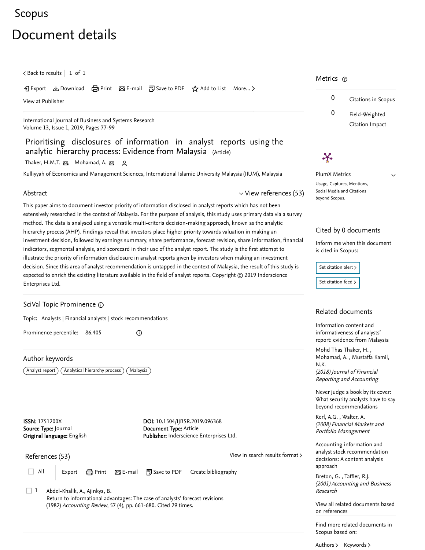# [Scopus](https://www-scopus-com.ezproxy.um.edu.my/home.uri?zone=header&origin=searchbasic)

# Document details

 $\zeta$  [Back to results](https://www-scopus-com.ezproxy.um.edu.my/results/results.uri?sort=plf-f&src=s&st1=Prioritising+disclosures+of+information+in+analyst+reports+using+the+analytic&st2=&sid=e7b32453b44d342623f15246c5ddd9a9&sot=b&sdt=b&sl=84&s=TITLE%28Prioritising+disclosures+of+information+in+analyst+reports+using+the+analytic%29&offset=1&origin=recordpage)  $\vert\,$   $\,$  1 of  $\,$  1  $\,$ 

→ Export & Download d Print ⊠ E-mail 可 Save to PDF ☆ Add to List More... >

[View at Publisher](https://www-scopus-com.ezproxy.um.edu.my/redirect/linking.uri?targetURL=https%3a%2f%2fdoi.org%2f10.1504%2fIJBSR.2019.096368&locationID=1&categoryID=4&eid=2-s2.0-85057842141&issn=1751200X&linkType=ViewAtPublisher&year=2019&origin=recordpage&dig=46dc5253248f9a8694af17e632dbaa81&recordRank=)

[International Journal of Business and Systems Research](https://www-scopus-com.ezproxy.um.edu.my/sourceid/21100314708?origin=recordpage) Volume 13, Issue 1, 2019, Pages 77-99

Prioritising disclosures of information in analyst reports using the analytic hierarchy process: Evidence from Malaysia (Article)

[Thaker, H.M.T.](https://www-scopus-com.ezproxy.um.edu.my/authid/detail.uri?authorId=57193616905&eid=2-s2.0-85057842141) ன, [Mohamad, A.](https://www-scopus-com.ezproxy.um.edu.my/authid/detail.uri?authorId=35189406300&eid=2-s2.0-85057842141) ன ੭

Kulliyyah of Economics and Management Sciences, International Islamic University Malaysia (IIUM), Malaysia

#### Abstract

 $\vee$  [View references \(53\)](#page-0-0)

This paper aims to document investor priority of information disclosed in analyst reports which has not been extensively researched in the context of Malaysia. For the purpose of analysis, this study uses primary data via a survey method. The data is analysed using a versatile multi-criteria decision-making approach, known as the analytic hierarchy process (AHP). Findings reveal that investors place higher priority towards valuation in making an investment decision, followed by earnings summary, share performance, forecast revision, share information, financial indicators, segmental analysis, and scorecard in their use of the analyst report. The study is the first attempt to illustrate the priority of information disclosure in analyst reports given by investors when making an investment decision. Since this area of analyst recommendation is untapped in the context of Malaysia, the result of this study is expected to enrich the existing literature available in the field of analyst reports. Copyright © 2019 Inderscience Enterprises Ltd.

 $\odot$ 

### SciVal Topic Prominence

Topic: Analysts | Financial analysts | stock recommendations

Prominence percentile: 86.405

Author keywords

 $\widehat{A}$ nalyst report $\widehat{A}$  (Analytical hierarchy process) (Malaysia

ISSN: 1751200X Source Type: Journal Original language: English DOI: 10.1504/IJBSR.2019.096368 Document Type: Article Publisher: Inderscience Enterprises Ltd.

<span id="page-0-0"></span>References (53)

[View in search results format](https://www-scopus-com.ezproxy.um.edu.my/search/submit/references.uri?sort=plf-f&src=r&imp=t&sid=cd98070a90493fdcbf579bcd55b7b747&sot=rec&sdt=citedreferences&sl=23&s=EID%282-s2.0-85057842141%29&origin=recordpage&citeCnt=1&citingId=2-s2.0-85057842141) >

□ All | Export 台 Print ⊠ E-mail 配 Save to PDF Create bibliography

Abdel-Khalik, A., Ajinkya, B. Return to informational advantages: The case of analysts' forecast revisions (1982) *Accounting Review*, 57 (4), pp. 661-680. [Cited 29 times](https://www-scopus-com.ezproxy.um.edu.my/search/submit/citedby.uri?eid=2-s2.0-85057842141&refeid=2-s2.0-0011007210&src=s&origin=reflist&refstat=dummy).  $\Box$  1

## Metrics ල

0 Citations in Scopus 0 Field-Weighted Citation Impact

# $\boldsymbol{\varkappa}$

PlumX Metrics Usage, Captures, Mentions, Social Media and Citations beyond Scopus.

 $\vee$ 

#### Cited by 0 documents

Inform me when this document is cited in Scopus:

Set citation alert > [Set citation feed](https://www-scopus-com.ezproxy.um.edu.my/results/rss/handler.uri?citeEid=2-s2.0-85057842141) >

### Related documents

Information content and informativeness of analysts' [report: evidence from Malaysia](https://www-scopus-com.ezproxy.um.edu.my/record/display.uri?origin=recordpage&zone=relatedDocuments&eid=2-s2.0-85061902838&citeCnt=0&noHighlight=false&sort=plf-f&src=s&st1=Prioritising+disclosures+of+information+in+analyst+reports+using+the+analytic&st2=&sid=e7b32453b44d342623f15246c5ddd9a9&sot=b&sdt=b&sl=84&s=TITLE%28Prioritising+disclosures+of+information+in+analyst+reports+using+the+analytic%29&relpos=0)

, [Mohd Thas Thaker, H.](https://www-scopus-com.ezproxy.um.edu.my/authid/detail.uri?origin=recordpage&authorId=57193616905&zone=relatedDocuments) , [Mohamad, A.](https://www-scopus-com.ezproxy.um.edu.my/authid/detail.uri?origin=recordpage&authorId=35189406300&zone=relatedDocuments) [Mustaffa Kamil,](https://www-scopus-com.ezproxy.um.edu.my/authid/detail.uri?origin=recordpage&authorId=57206727780&zone=relatedDocuments) N.K.

(2018) Journal of Financial Reporting and Accounting

Never judge a book by its cover: [What security analysts have to say](https://www-scopus-com.ezproxy.um.edu.my/record/display.uri?origin=recordpage&zone=relatedDocuments&eid=2-s2.0-57349115300&citeCnt=0&noHighlight=false&sort=plf-f&src=s&st1=Prioritising+disclosures+of+information+in+analyst+reports+using+the+analytic&st2=&sid=e7b32453b44d342623f15246c5ddd9a9&sot=b&sdt=b&sl=84&s=TITLE%28Prioritising+disclosures+of+information+in+analyst+reports+using+the+analytic%29&relpos=1) beyond recommendations

, [Kerl, A.G.](https://www-scopus-com.ezproxy.um.edu.my/authid/detail.uri?origin=recordpage&authorId=23970770800&zone=relatedDocuments) [Walter, A.](https://www-scopus-com.ezproxy.um.edu.my/authid/detail.uri?origin=recordpage&authorId=35950555100&zone=relatedDocuments) (2008) Financial Markets and Portfolio Management

Accounting information and [analyst stock recommendation](https://www-scopus-com.ezproxy.um.edu.my/record/display.uri?origin=recordpage&zone=relatedDocuments&eid=2-s2.0-11244280795&citeCnt=0&noHighlight=false&sort=plf-f&src=s&st1=Prioritising+disclosures+of+information+in+analyst+reports+using+the+analytic&st2=&sid=e7b32453b44d342623f15246c5ddd9a9&sot=b&sdt=b&sl=84&s=TITLE%28Prioritising+disclosures+of+information+in+analyst+reports+using+the+analytic%29&relpos=2) decisions: A content analysis approach

, [Breton, G.](https://www-scopus-com.ezproxy.um.edu.my/authid/detail.uri?origin=recordpage&authorId=15069403800&zone=relatedDocuments) [Taffler, R.J.](https://www-scopus-com.ezproxy.um.edu.my/authid/detail.uri?origin=recordpage&authorId=6505904943&zone=relatedDocuments) (2001) Accounting and Business Research

[View all related documents based](https://www-scopus-com.ezproxy.um.edu.my/search/submit/mlt.uri?eid=2-s2.0-85057842141&src=s&all=true&origin=recordpage&method=ref&zone=relatedDocuments) on references

Find more related documents in Scopus based on:

[Authors](https://www-scopus-com.ezproxy.um.edu.my/search/submit/mlt.uri?eid=2-s2.0-85057842141&src=s&all=true&origin=recordpage&method=aut&zone=relatedDocuments) > [Keywords](https://www-scopus-com.ezproxy.um.edu.my/search/submit/mlt.uri?eid=2-s2.0-85057842141&src=s&all=true&origin=recordpage&method=key&zone=relatedDocuments) >